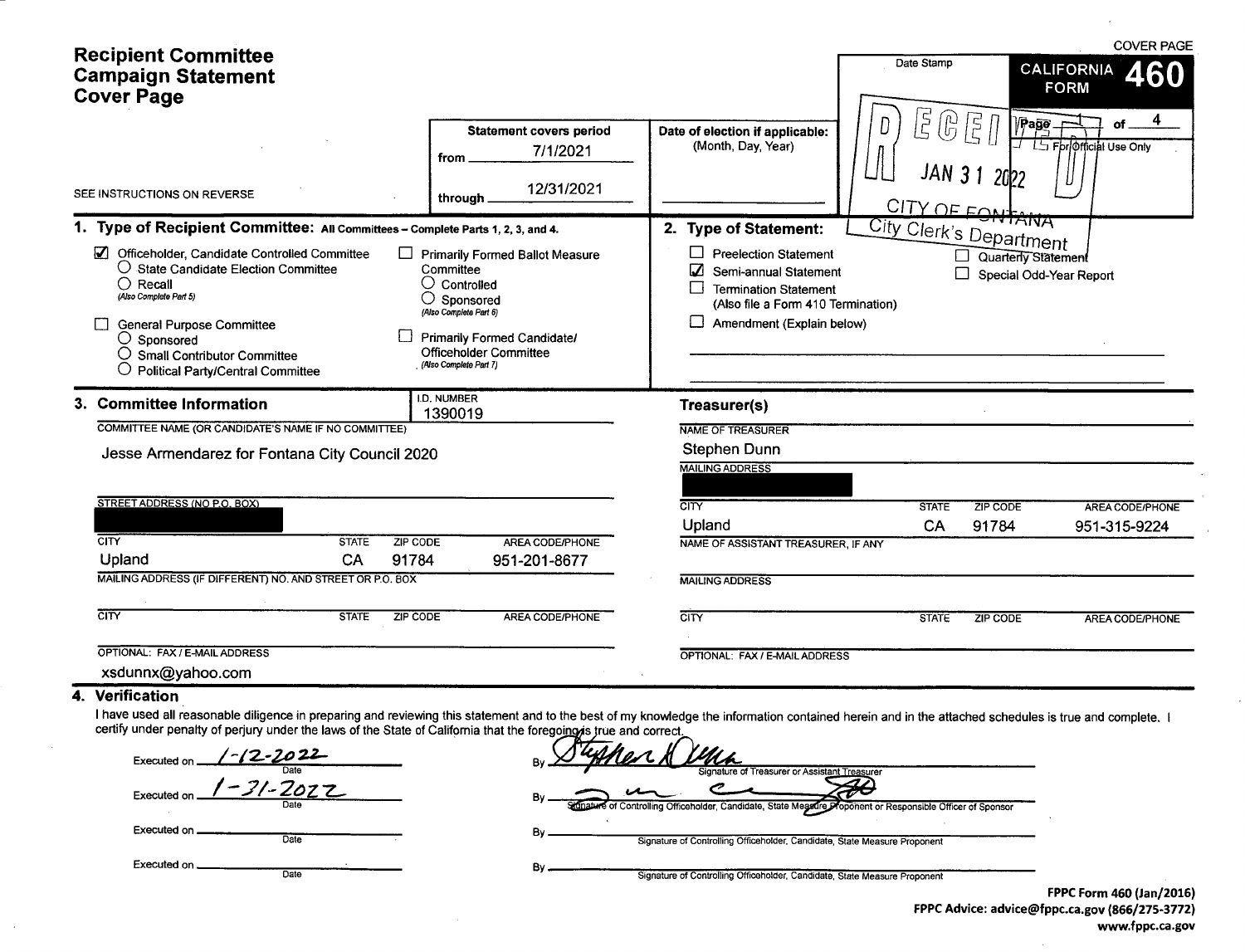| <b>Recipient Committee</b><br><b>Campaign Statement</b><br><b>Cover Page</b>                                                                                                                                                                                                                                                                                       |                                                                                                                                                                                                                                                                  | Date Stamp                                                                                                                                                                                                                                      |                                                         | <b>COVER PAGE</b><br>460<br>CALIFORNIA<br><b>FORM</b>                              |                                                                                |  |  |
|--------------------------------------------------------------------------------------------------------------------------------------------------------------------------------------------------------------------------------------------------------------------------------------------------------------------------------------------------------------------|------------------------------------------------------------------------------------------------------------------------------------------------------------------------------------------------------------------------------------------------------------------|-------------------------------------------------------------------------------------------------------------------------------------------------------------------------------------------------------------------------------------------------|---------------------------------------------------------|------------------------------------------------------------------------------------|--------------------------------------------------------------------------------|--|--|
| SEE INSTRUCTIONS ON REVERSE<br>1. Type of Recipient Committee: All Committees - Complete Parts 1, 2, 3, and 4.<br>Officeholder, Candidate Controlled Committee<br>O State Candidate Election Committee<br>$\bigcirc$ Recall<br>(Also Complete Part 5)<br><b>General Purpose Committee</b><br>$\bigcirc$ Sponsored<br>$\bigcirc$ Small Contributor Committee        | <b>Statement covers period</b><br>7/1/2021<br>from<br>12/31/2021<br>through<br>Primarily Formed Ballot Measure<br>Committee<br>$\bigcirc$ Controlled<br>O<br>Sponsored<br>(Also Complete Part 6)<br><b>Primarily Formed Candidate/</b><br>Officeholder Committee | Date of election if applicable:<br>(Month, Day, Year)<br>2. Type of Statement:<br><b>Preelection Statement</b><br>Semi-annual Statement<br>П<br><b>Termination Statement</b><br>(Also file a Form 410 Termination)<br>Amendment (Explain below) | $\vec{5}$<br>(ր)<br>D<br><b>City Clerk's Department</b> | 尼<br>「<br>$\sqrt{P}$ ago<br>JAN 3 1 2022<br>CITY OF FONTANA<br>Quarterly Statement | $\overline{\mathbf{4}}$<br>LS For Official Use Only<br>Special Odd-Year Report |  |  |
| <b>Political Party/Central Committee</b><br>3. Committee Information                                                                                                                                                                                                                                                                                               | (Also Complete Part 7)<br>I.D. NUMBER<br>1390019                                                                                                                                                                                                                 | Treasurer(s)                                                                                                                                                                                                                                    |                                                         |                                                                                    |                                                                                |  |  |
| COMMITTEE NAME (OR CANDIDATE'S NAME IF NO COMMITTEE)<br>Jesse Armendarez for Fontana City Council 2020                                                                                                                                                                                                                                                             | <b>NAME OF TREASURER</b><br><b>Stephen Dunn</b><br><b>MAILING ADDRESS</b>                                                                                                                                                                                        |                                                                                                                                                                                                                                                 |                                                         |                                                                                    |                                                                                |  |  |
| STREET ADDRESS (NO P.O. BOX)                                                                                                                                                                                                                                                                                                                                       |                                                                                                                                                                                                                                                                  | $\overline{\text{CITY}}$                                                                                                                                                                                                                        | <b>STATE</b>                                            | ZIP CODE                                                                           | <b>AREA CODE/PHONE</b>                                                         |  |  |
|                                                                                                                                                                                                                                                                                                                                                                    |                                                                                                                                                                                                                                                                  | Upland                                                                                                                                                                                                                                          | <b>CA</b>                                               | 91784                                                                              | 951-315-9224                                                                   |  |  |
| $\overline{\text{CITY}}$<br><b>STATE</b><br><b>ZIP CODE</b><br>Upland<br>CA<br>91784                                                                                                                                                                                                                                                                               | AREA CODE/PHONE<br>951-201-8677                                                                                                                                                                                                                                  | NAME OF ASSISTANT TREASURER, IF ANY                                                                                                                                                                                                             |                                                         |                                                                                    |                                                                                |  |  |
| MAILING ADDRESS (IF DIFFERENT) NO. AND STREET OR P.O. BOX                                                                                                                                                                                                                                                                                                          |                                                                                                                                                                                                                                                                  |                                                                                                                                                                                                                                                 |                                                         |                                                                                    |                                                                                |  |  |
| CITY<br><b>STATE</b><br><b>ZIP CODE</b>                                                                                                                                                                                                                                                                                                                            | AREA CODE/PHONE                                                                                                                                                                                                                                                  | $\overline{\text{CITY}}$                                                                                                                                                                                                                        | <b>STATE</b>                                            | <b>ZIP CODE</b>                                                                    | AREA CODE/PHONE                                                                |  |  |
| OPTIONAL: FAX / E-MAIL ADDRESS<br>xsdunnx@yahoo.com                                                                                                                                                                                                                                                                                                                |                                                                                                                                                                                                                                                                  | OPTIONAL: FAX / E-MAIL ADDRESS                                                                                                                                                                                                                  |                                                         |                                                                                    |                                                                                |  |  |
| 4. Verification<br>I have used all reasonable diligence in preparing and reviewing this statement and to the best of my knowledge the information contained herein and in the attached schedules is true and complete. I<br>certify under penalty of perjury under the laws of the State of California that the foregoing is true and correct.<br>$1 - 17 - 2 - 2$ |                                                                                                                                                                                                                                                                  | $\sqrt{444a}$                                                                                                                                                                                                                                   |                                                         |                                                                                    |                                                                                |  |  |

| and the company of providence and control of the company of the company of the company of the company of the company of the company of the company of the company of the company of the company of the company of the company |
|-------------------------------------------------------------------------------------------------------------------------------------------------------------------------------------------------------------------------------|
| Executed on 1-12-2022                                                                                                                                                                                                         |
| Date                                                                                                                                                                                                                          |
| Executed on $1 - 31 - 2022$                                                                                                                                                                                                   |
| Date                                                                                                                                                                                                                          |
|                                                                                                                                                                                                                               |
| Executed on _______________                                                                                                                                                                                                   |
| Date                                                                                                                                                                                                                          |
| Executed on _____                                                                                                                                                                                                             |
| Date                                                                                                                                                                                                                          |

 $\sim$ 

|              | der the laws of the State of California that the foregoing is true and correct.                                   |
|--------------|-------------------------------------------------------------------------------------------------------------------|
| 0 22         | <u>Mer A lena</u>                                                                                                 |
| Date         | Signature of Treasurer or Assistant Treasurer                                                                     |
| Zoz:<br>Date | B٧<br>Signature of Controlling Officeholder, Candidate, State Megadre Proponent or Responsible Officer of Sponsor |
|              |                                                                                                                   |
| Date         | B۱<br>Signature of Controlling Officeholder, Candidate, State Measure Proponent                                   |
|              |                                                                                                                   |
|              | В٧                                                                                                                |
| Date         | Signature of Controlling Officeholder, Candidate, State Measure Proponent                                         |

FPPC Form 460 (Jan/2016) FPPC Advice: advice@fppc.ca.gov (866/275-3772) www.fppc.ca.gov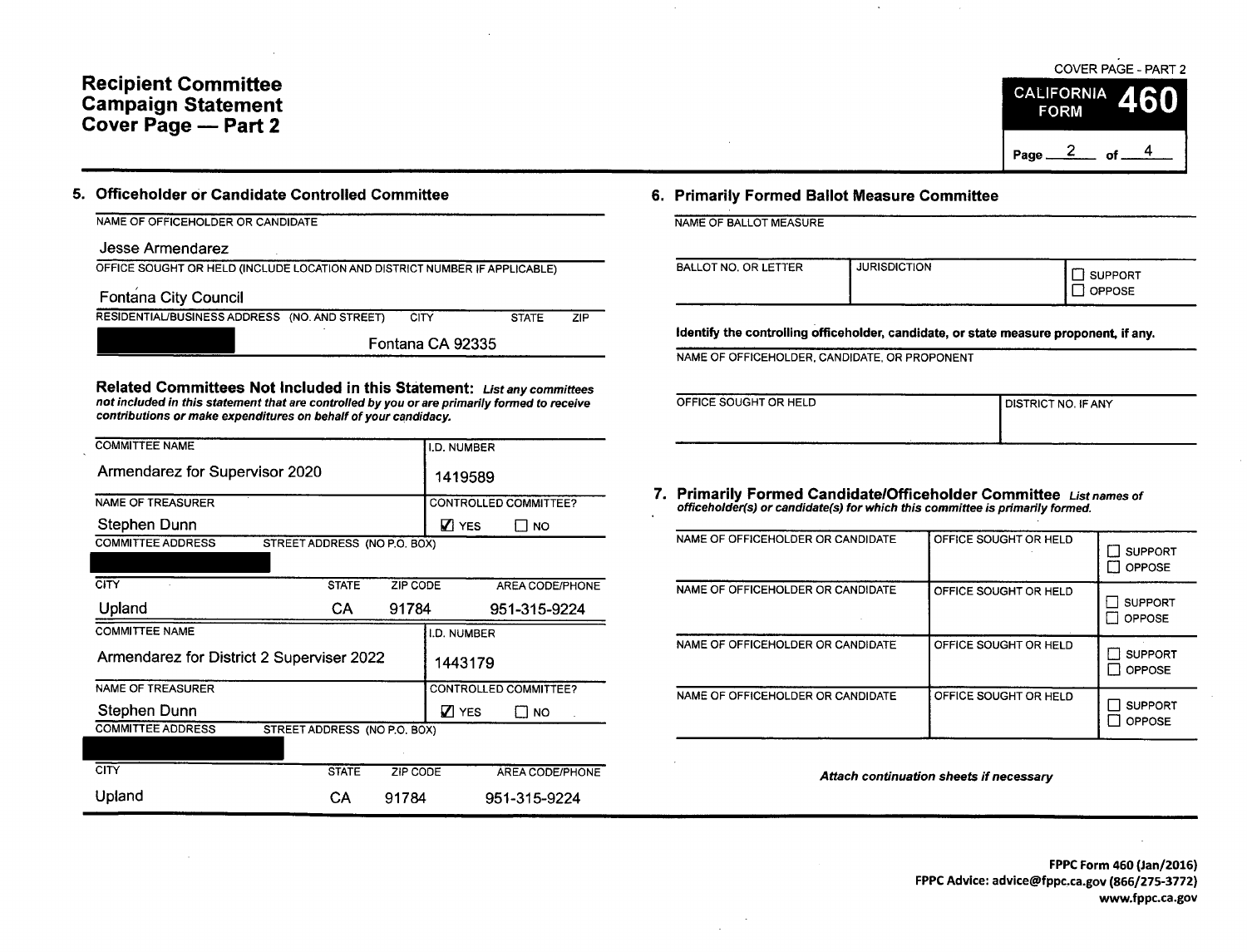# Recipient Committee Campaign Statement Cover Page — Part 2

### NAME OF OFFICEHOLDER OR CANDIDATE

Jesse Armendarez

| OFFICE SOUGHT OR HELD (INCLUDE LOCATION AND DISTRICT NUMBER IF APPLICABLE) |
|----------------------------------------------------------------------------|
|----------------------------------------------------------------------------|

Fontana City Council

RESIDENTIAL/BUSINESS ADDRESS (NO. AND STREET) CITY STATE ZIP

Fontana CA 92335

Related Committees Not Included in this Statement: List any committees not included in this statement that are controlled by you or are primarily formed to receive contributions or make expenditures on behalf of your candidacy.

| <b>COMMITTEE NAME</b>                     |                              |          | I.D. NUMBER  |                       |
|-------------------------------------------|------------------------------|----------|--------------|-----------------------|
| Armendarez for Supervisor 2020            |                              |          | 1419589      |                       |
| <b>NAME OF TREASURER</b>                  |                              |          |              | CONTROLLED COMMITTEE? |
| Stephen Dunn                              |                              |          | <b>Z</b> YES | NO.                   |
| <b>COMMITTEE ADDRESS</b>                  | STREET ADDRESS (NO P.O. BOX) |          |              |                       |
|                                           |                              |          |              |                       |
| <b>CITY</b>                               | <b>STATE</b>                 | ZIP CODE |              | AREA CODE/PHONE       |
| Upland                                    | CA                           | 91784    |              | 951-315-9224          |
| <b>COMMITTEE NAME</b>                     |                              |          | I.D. NUMBER  |                       |
| Armendarez for District 2 Superviser 2022 |                              |          | 1443179      |                       |
| NAME OF TREASURER                         |                              |          |              | CONTROLLED COMMITTEE? |
| Stephen Dunn                              |                              |          | <b>Z</b> YES | I I NO                |
| <b>COMMITTEE ADDRESS</b>                  | STREET ADDRESS (NO P.O. BOX) |          |              |                       |
|                                           |                              |          |              |                       |
| <b>CITY</b>                               | <b>STATE</b>                 | ZIP CODE |              | AREA CODE/PHONE       |
| Upland                                    | CА                           | 91784    |              | 951-315-9224          |

## 5. Officeholder or Candidate Controlled Committee 6. Primarily Formed Ballot Measure Committee

NAME OF BALLOT MEASURE

| BALLOT NO. OR LETTER | <b>JURISDICTION</b> | SUPPORT<br>OPPOSE |
|----------------------|---------------------|-------------------|
|                      |                     |                   |

Identify the controlling officeholder, candidate, or state measure proponent, if any.

NAME OF OFFICEHOLDER, CANDIDATE, OR PROPONENT

| OFFICE SOUGHT OR HELD | <b>I DISTRICT NO. IF ANY</b> |
|-----------------------|------------------------------|
|                       |                              |
|                       |                              |

# 7. Primarily Formed Candidate/Officeholder Committee List names of officeholder(s) or candidate(s) for which this committee is primarily formed.

| NAME OF OFFICEHOLDER OR CANDIDATE | OFFICE SOUGHT OR HELD | <b>SUPPORT</b><br><b>OPPOSE</b> |
|-----------------------------------|-----------------------|---------------------------------|
| NAME OF OFFICEHOLDER OR CANDIDATE | OFFICE SOUGHT OR HELD | <b>SUPPORT</b><br><b>OPPOSE</b> |
| NAME OF OFFICEHOLDER OR CANDIDATE | OFFICE SOUGHT OR HELD | <b>SUPPORT</b><br><b>OPPOSE</b> |
| NAME OF OFFICEHOLDER OR CANDIDATE | OFFICE SOUGHT OR HELD | <b>SUPPORT</b><br><b>OPPOSE</b> |

Attach continuation sheets if necessary

FPPC Form 460 (Jan/2016) FPPC Advice: advice@fppc.ca.gov (866/275-3772) www.fppc.ca.gov

COVER PAGE - PART 2

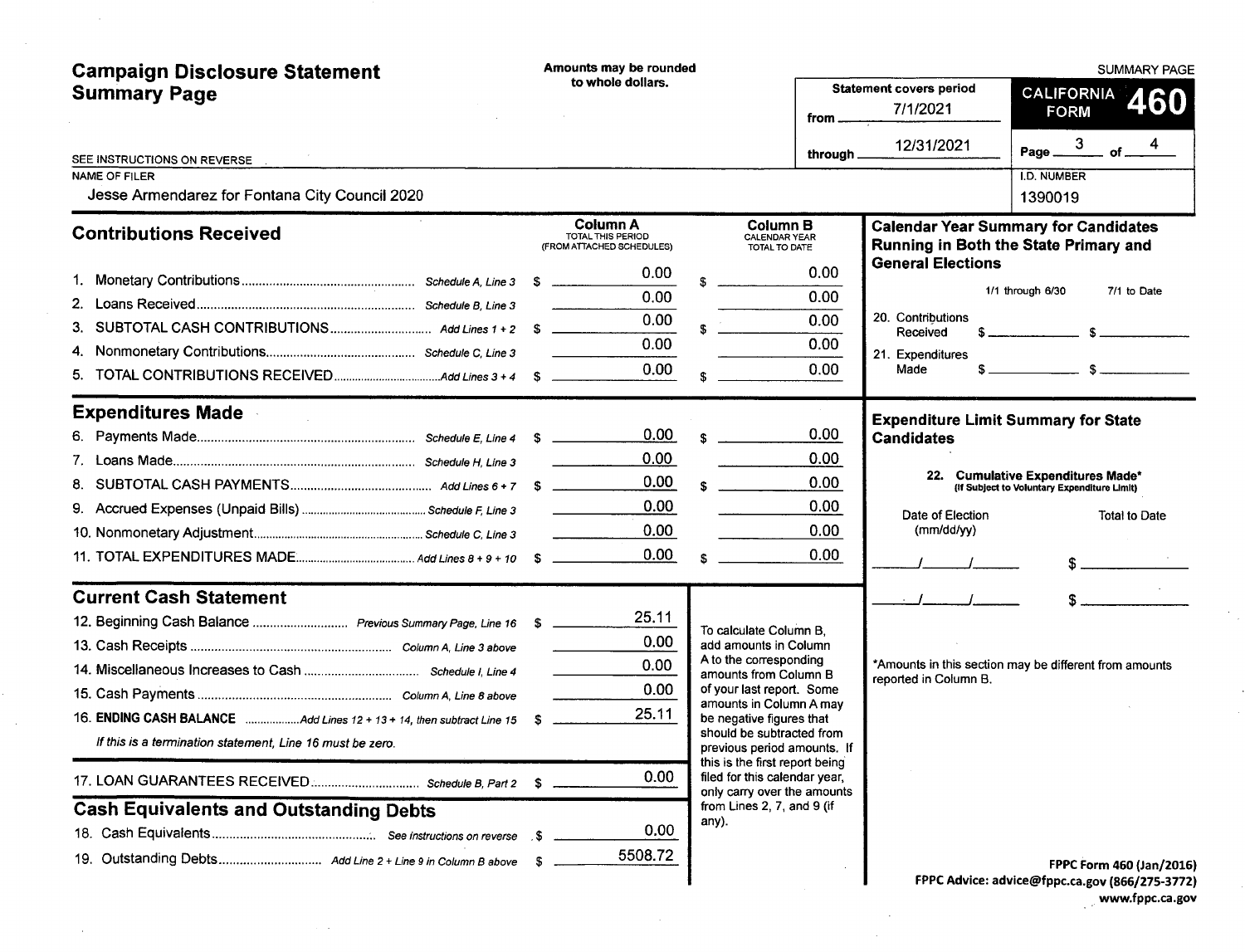| <b>Campaign Disclosure Statement</b>                                     |    | Amounts may be rounded<br>to whole dollars.                       |    |                                                                                                |                  | <b>Statement covers period</b>                                                       | <b>SUMMARY PAGE</b><br>CALIFORNIA                   |             |               |                          |
|--------------------------------------------------------------------------|----|-------------------------------------------------------------------|----|------------------------------------------------------------------------------------------------|------------------|--------------------------------------------------------------------------------------|-----------------------------------------------------|-------------|---------------|--------------------------|
| <b>Summary Page</b>                                                      |    |                                                                   |    |                                                                                                | from _           | 7/1/2021                                                                             |                                                     | <b>FORM</b> |               | 460                      |
| SEE INSTRUCTIONS ON REVERSE                                              |    |                                                                   |    |                                                                                                | through $\equiv$ | 12/31/2021                                                                           | Page $\frac{3}{\sqrt{11}}$ of $\frac{4}{\sqrt{11}}$ |             |               |                          |
| <b>NAME OF FILER</b><br>Jesse Armendarez for Fontana City Council 2020   |    |                                                                   |    |                                                                                                |                  |                                                                                      | <b>I.D. NUMBER</b><br>1390019                       |             |               |                          |
| <b>Contributions Received</b>                                            |    | <b>Column A</b><br>TOTAL THIS PERIOD<br>(FROM ATTACHED SCHEDULES) |    | Column B<br><b>CALENDAR YEAR</b><br>TOTAL TO DATE                                              |                  | <b>Calendar Year Summary for Candidates</b><br>Running in Both the State Primary and |                                                     |             |               |                          |
|                                                                          |    | 0.00                                                              |    |                                                                                                | 0.00             | <b>General Elections</b>                                                             |                                                     |             |               |                          |
|                                                                          |    | 0.00                                                              |    |                                                                                                | 0.00             |                                                                                      | 1/1 through 6/30                                    |             | 7/1 to Date   |                          |
|                                                                          |    | 0.00                                                              | £. |                                                                                                | 0.00             | 20. Contributions<br>Received                                                        | $s$ $s$                                             |             |               |                          |
| 4.                                                                       |    | 0.00                                                              |    |                                                                                                | 0.00             | 21. Expenditures                                                                     |                                                     |             |               |                          |
| 5.                                                                       |    | 0.00                                                              | S. |                                                                                                | 0.00             | Made                                                                                 | $s$ $s$                                             |             |               |                          |
| <b>Expenditures Made</b>                                                 |    |                                                                   |    |                                                                                                |                  | <b>Expenditure Limit Summary for State</b>                                           |                                                     |             |               |                          |
|                                                                          |    | 0.00                                                              | \$ |                                                                                                | 0.00             | <b>Candidates</b>                                                                    |                                                     |             |               |                          |
|                                                                          |    | 0.00                                                              |    |                                                                                                | 0.00             |                                                                                      |                                                     |             |               |                          |
|                                                                          |    | 0.00                                                              |    |                                                                                                | 0.00             | 22. Cumulative Expenditures Made*                                                    | (If Subject to Voluntary Expenditure Limit)         |             |               |                          |
|                                                                          |    | 0.00                                                              |    |                                                                                                | 0.00             | Date of Election                                                                     |                                                     |             | Total to Date |                          |
|                                                                          |    | 0.00                                                              |    |                                                                                                | 0.00             | (mm/dd/yy)                                                                           |                                                     |             |               |                          |
|                                                                          |    | 0.00                                                              |    |                                                                                                | 0.00             |                                                                                      |                                                     |             |               |                          |
| <b>Current Cash Statement</b>                                            |    |                                                                   |    |                                                                                                |                  | $\overline{I}$ $I$ $I$                                                               |                                                     |             |               |                          |
|                                                                          |    | 25.11                                                             |    | To calculate Column B.                                                                         |                  |                                                                                      |                                                     |             |               |                          |
|                                                                          |    | 0.00                                                              |    | add amounts in Column                                                                          |                  |                                                                                      |                                                     |             |               |                          |
|                                                                          |    | 0.00                                                              |    | A to the corresponding<br>amounts from Column B                                                |                  | *Amounts in this section may be different from amounts<br>reported in Column B.      |                                                     |             |               |                          |
|                                                                          |    | 0.00                                                              |    | of your last report. Some<br>amounts in Column A may                                           |                  |                                                                                      |                                                     |             |               |                          |
| 16. ENDING CASH BALANCE Add Lines 12 + 13 + 14, then subtract Line 15 \$ |    | 25.11                                                             |    | be negative figures that                                                                       |                  |                                                                                      |                                                     |             |               |                          |
| If this is a termination statement, Line 16 must be zero.                |    |                                                                   |    | should be subtracted from<br>previous period amounts. If                                       |                  |                                                                                      |                                                     |             |               |                          |
|                                                                          | S. | 0.00                                                              |    | this is the first report being<br>filed for this calendar year,<br>only carry over the amounts |                  |                                                                                      |                                                     |             |               |                          |
| <b>Cash Equivalents and Outstanding Debts</b>                            |    |                                                                   |    | from Lines 2, 7, and 9 (if<br>any).                                                            |                  |                                                                                      |                                                     |             |               |                          |
|                                                                          |    | 0.00                                                              |    |                                                                                                |                  |                                                                                      |                                                     |             |               |                          |
|                                                                          |    | 5508.72                                                           |    |                                                                                                |                  |                                                                                      |                                                     |             |               | FPPC Form 460 (Jan/2016) |
|                                                                          |    |                                                                   |    |                                                                                                |                  | FPPC Advice: advice@fppc.ca.gov (866/275-3772)                                       |                                                     |             |               |                          |

 $\sim 10^{-1}$ 

 $\mathcal{L}^{\text{max}}_{\text{max}}$  and  $\mathcal{L}^{\text{max}}_{\text{max}}$ 

 $\sim 10^{11}$ 

 $\epsilon_{\rm{eff}}$  $\sim 10^6$ 

 $\sim 100$ 

FPPC Advice: advice@fppc. ca. gov (866/ 275-3772) www.fppc.ca.gov

 $\mathcal{L}^{\text{max}}_{\text{max}}$ 

 $\sim 10^7$ 

 $\mathcal{F}_{\mathcal{A}}$ 

 $\ddot{\phantom{0}}$